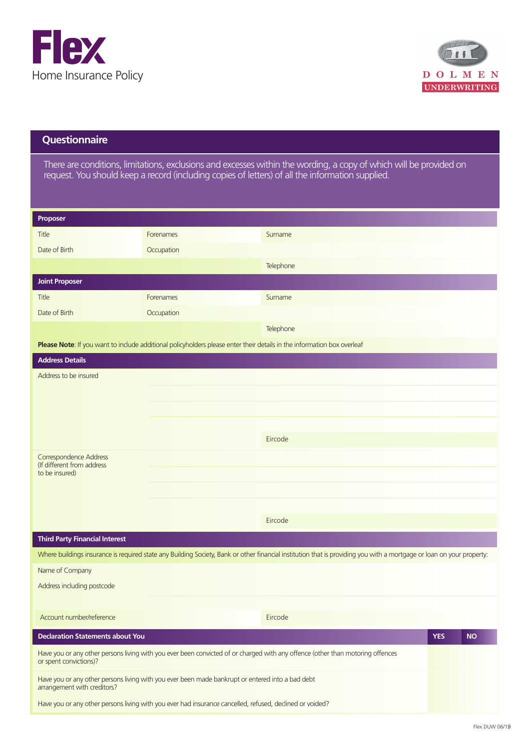



## **Questionnaire**

There are conditions, limitations, exclusions and excesses within the wording, a copy of which will be provided on request. You should keep a record (including copies of letters) of all the information supplied.

| Proposer                                                                                                                        |                                                                                                                                |                                                                                                                                                                       |            |           |  |  |
|---------------------------------------------------------------------------------------------------------------------------------|--------------------------------------------------------------------------------------------------------------------------------|-----------------------------------------------------------------------------------------------------------------------------------------------------------------------|------------|-----------|--|--|
| Title                                                                                                                           | Forenames                                                                                                                      | Surname                                                                                                                                                               |            |           |  |  |
| Date of Birth                                                                                                                   | Occupation                                                                                                                     |                                                                                                                                                                       |            |           |  |  |
|                                                                                                                                 |                                                                                                                                | Telephone                                                                                                                                                             |            |           |  |  |
| <b>Joint Proposer</b>                                                                                                           |                                                                                                                                |                                                                                                                                                                       |            |           |  |  |
| Title                                                                                                                           | Forenames                                                                                                                      | Surname                                                                                                                                                               |            |           |  |  |
| Date of Birth                                                                                                                   | Occupation                                                                                                                     |                                                                                                                                                                       |            |           |  |  |
|                                                                                                                                 |                                                                                                                                | Telephone                                                                                                                                                             |            |           |  |  |
|                                                                                                                                 | Please Note: If you want to include additional policyholders please enter their details in the information box overleaf        |                                                                                                                                                                       |            |           |  |  |
| <b>Address Details</b>                                                                                                          |                                                                                                                                |                                                                                                                                                                       |            |           |  |  |
| Address to be insured                                                                                                           |                                                                                                                                |                                                                                                                                                                       |            |           |  |  |
|                                                                                                                                 |                                                                                                                                |                                                                                                                                                                       |            |           |  |  |
|                                                                                                                                 |                                                                                                                                |                                                                                                                                                                       |            |           |  |  |
|                                                                                                                                 |                                                                                                                                |                                                                                                                                                                       |            |           |  |  |
|                                                                                                                                 |                                                                                                                                | Eircode                                                                                                                                                               |            |           |  |  |
| Correspondence Address                                                                                                          |                                                                                                                                |                                                                                                                                                                       |            |           |  |  |
| (If different from address<br>to be insured)                                                                                    |                                                                                                                                |                                                                                                                                                                       |            |           |  |  |
|                                                                                                                                 |                                                                                                                                |                                                                                                                                                                       |            |           |  |  |
|                                                                                                                                 |                                                                                                                                |                                                                                                                                                                       |            |           |  |  |
|                                                                                                                                 |                                                                                                                                | Eircode                                                                                                                                                               |            |           |  |  |
| <b>Third Party Financial Interest</b>                                                                                           |                                                                                                                                |                                                                                                                                                                       |            |           |  |  |
|                                                                                                                                 |                                                                                                                                | Where buildings insurance is required state any Building Society, Bank or other financial institution that is providing you with a mortgage or loan on your property: |            |           |  |  |
| Name of Company                                                                                                                 |                                                                                                                                |                                                                                                                                                                       |            |           |  |  |
| Address including postcode                                                                                                      |                                                                                                                                |                                                                                                                                                                       |            |           |  |  |
|                                                                                                                                 |                                                                                                                                |                                                                                                                                                                       |            |           |  |  |
| Account number/reference                                                                                                        |                                                                                                                                | Eircode                                                                                                                                                               |            |           |  |  |
| <b>Declaration Statements about You</b>                                                                                         |                                                                                                                                |                                                                                                                                                                       | <b>YES</b> | <b>NO</b> |  |  |
| or spent convictions)?                                                                                                          | Have you or any other persons living with you ever been convicted of or charged with any offence (other than motoring offences |                                                                                                                                                                       |            |           |  |  |
| Have you or any other persons living with you ever been made bankrupt or entered into a bad debt<br>arrangement with creditors? |                                                                                                                                |                                                                                                                                                                       |            |           |  |  |
| Have you or any other persons living with you ever had insurance cancelled, refused, declined or voided?                        |                                                                                                                                |                                                                                                                                                                       |            |           |  |  |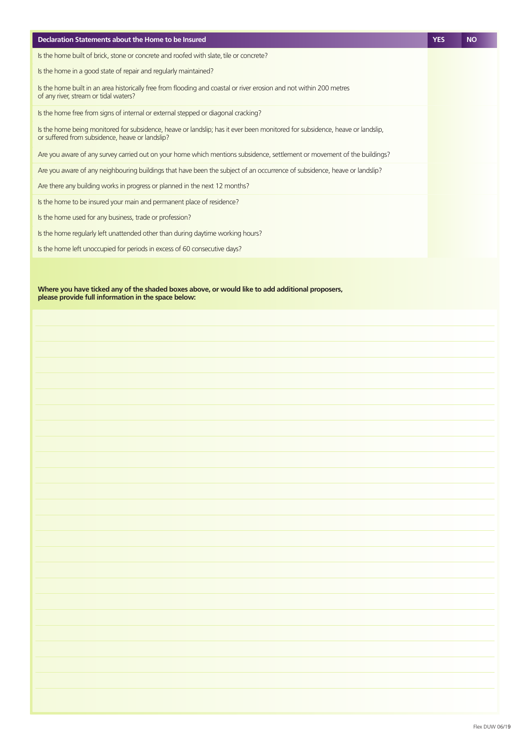| Declaration Statements about the Home to be Insured                                                                                                                             | <b>YES</b> | <b>NO</b> |
|---------------------------------------------------------------------------------------------------------------------------------------------------------------------------------|------------|-----------|
| Is the home built of brick, stone or concrete and roofed with slate, tile or concrete?                                                                                          |            |           |
| Is the home in a good state of repair and regularly maintained?                                                                                                                 |            |           |
| Is the home built in an area historically free from flooding and coastal or river erosion and not within 200 metres<br>of any river, stream or tidal waters?                    |            |           |
| Is the home free from signs of internal or external stepped or diagonal cracking?                                                                                               |            |           |
| Is the home being monitored for subsidence, heave or landslip; has it ever been monitored for subsidence, heave or landslip,<br>or suffered from subsidence, heave or landslip? |            |           |
| Are you aware of any survey carried out on your home which mentions subsidence, settlement or movement of the buildings?                                                        |            |           |
| Are you aware of any neighbouring buildings that have been the subject of an occurrence of subsidence, heave or landslip?                                                       |            |           |
| Are there any building works in progress or planned in the next 12 months?                                                                                                      |            |           |
| Is the home to be insured your main and permanent place of residence?                                                                                                           |            |           |
| Is the home used for any business, trade or profession?                                                                                                                         |            |           |
| Is the home regularly left unattended other than during daytime working hours?                                                                                                  |            |           |
| Is the home left unoccupied for periods in excess of 60 consecutive days?                                                                                                       |            |           |
|                                                                                                                                                                                 |            |           |

**Where you have ticked any of the shaded boxes above, or would like to add additional proposers, please provide full information in the space below:**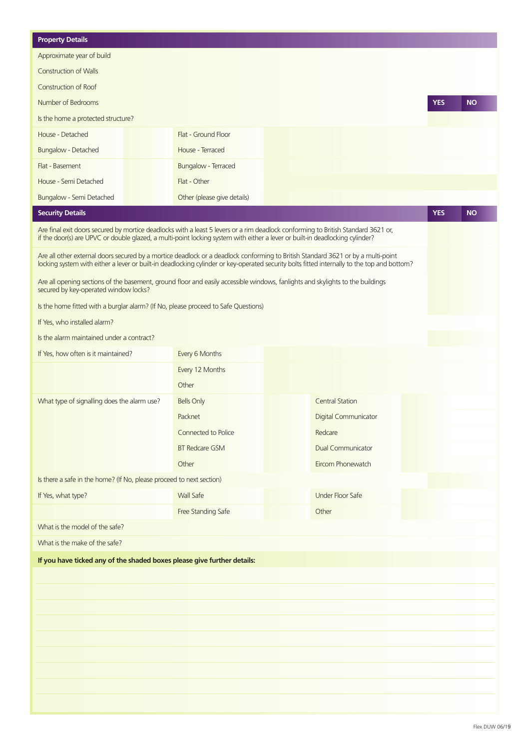| <b>Property Details</b>                                                                                                                                                                                                                                                         |                             |                       |                             |                             |            |           |
|---------------------------------------------------------------------------------------------------------------------------------------------------------------------------------------------------------------------------------------------------------------------------------|-----------------------------|-----------------------|-----------------------------|-----------------------------|------------|-----------|
| Approximate year of build                                                                                                                                                                                                                                                       |                             |                       |                             |                             |            |           |
| <b>Construction of Walls</b>                                                                                                                                                                                                                                                    |                             |                       |                             |                             |            |           |
| Construction of Roof                                                                                                                                                                                                                                                            |                             |                       |                             |                             |            |           |
| Number of Bedrooms                                                                                                                                                                                                                                                              |                             |                       |                             |                             | <b>YES</b> | <b>NO</b> |
| Is the home a protected structure?                                                                                                                                                                                                                                              |                             |                       |                             |                             |            |           |
| House - Detached                                                                                                                                                                                                                                                                | Flat - Ground Floor         |                       |                             |                             |            |           |
| Bungalow - Detached                                                                                                                                                                                                                                                             | House - Terraced            |                       |                             |                             |            |           |
| Flat - Basement                                                                                                                                                                                                                                                                 | Bungalow - Terraced         |                       |                             |                             |            |           |
| House - Semi Detached                                                                                                                                                                                                                                                           | Flat - Other                |                       |                             |                             |            |           |
| Bungalow - Semi Detached                                                                                                                                                                                                                                                        | Other (please give details) |                       |                             |                             |            |           |
| <b>Security Details</b>                                                                                                                                                                                                                                                         |                             |                       |                             |                             | <b>YES</b> | <b>NO</b> |
| Are final exit doors secured by mortice deadlocks with a least 5 levers or a rim deadlock conforming to British Standard 3621 or,                                                                                                                                               |                             |                       |                             |                             |            |           |
| if the door(s) are UPVC or double glazed, a multi-point locking system with either a lever or built-in deadlocking cylinder?                                                                                                                                                    |                             |                       |                             |                             |            |           |
| Are all other external doors secured by a mortice deadlock or a deadlock conforming to British Standard 3621 or by a multi-point<br>locking system with either a lever or built-in deadlocking cylinder or key-operated security bolts fitted internally to the top and bottom? |                             |                       |                             |                             |            |           |
| Are all opening sections of the basement, ground floor and easily accessible windows, fanlights and skylights to the buildings<br>secured by key-operated window locks?                                                                                                         |                             |                       |                             |                             |            |           |
| Is the home fitted with a burglar alarm? (If No, please proceed to Safe Questions)                                                                                                                                                                                              |                             |                       |                             |                             |            |           |
| If Yes, who installed alarm?                                                                                                                                                                                                                                                    |                             |                       |                             |                             |            |           |
| Is the alarm maintained under a contract?                                                                                                                                                                                                                                       |                             |                       |                             |                             |            |           |
| If Yes, how often is it maintained?                                                                                                                                                                                                                                             | Every 6 Months              |                       |                             |                             |            |           |
|                                                                                                                                                                                                                                                                                 | Every 12 Months             |                       |                             |                             |            |           |
|                                                                                                                                                                                                                                                                                 | Other                       | $\breve{\bullet}$     |                             |                             |            |           |
| What type of signalling does the alarm use?                                                                                                                                                                                                                                     | <b>Bells Only</b>           |                       | <b>Central Station</b>      |                             |            |           |
|                                                                                                                                                                                                                                                                                 | Packnet                     |                       | <b>Digital Communicator</b> |                             |            |           |
|                                                                                                                                                                                                                                                                                 | Connected to Police         |                       | Redcare                     |                             |            |           |
|                                                                                                                                                                                                                                                                                 | <b>BT Redcare GSM</b>       |                       | <b>Dual Communicator</b>    |                             |            |           |
|                                                                                                                                                                                                                                                                                 | Other                       |                       | Eircom Phonewatch           | $\textcolor{blue}{\bullet}$ |            |           |
| Is there a safe in the home? (If No, please proceed to next section)                                                                                                                                                                                                            |                             |                       |                             |                             |            |           |
| If Yes, what type?                                                                                                                                                                                                                                                              | <b>Wall Safe</b>            |                       | <b>Under Floor Safe</b>     |                             |            |           |
|                                                                                                                                                                                                                                                                                 | Free Standing Safe          | $\boldsymbol{\Theta}$ | Other                       |                             |            |           |
| What is the model of the safe?                                                                                                                                                                                                                                                  |                             |                       |                             |                             |            |           |
| What is the make of the safe?                                                                                                                                                                                                                                                   |                             |                       |                             |                             |            |           |
| If you have ticked any of the shaded boxes please give further details:                                                                                                                                                                                                         |                             |                       |                             |                             |            |           |
|                                                                                                                                                                                                                                                                                 |                             |                       |                             |                             |            |           |
|                                                                                                                                                                                                                                                                                 |                             |                       |                             |                             |            |           |
|                                                                                                                                                                                                                                                                                 |                             |                       |                             |                             |            |           |
|                                                                                                                                                                                                                                                                                 |                             |                       |                             |                             |            |           |
|                                                                                                                                                                                                                                                                                 |                             |                       |                             |                             |            |           |
|                                                                                                                                                                                                                                                                                 |                             |                       |                             |                             |            |           |
|                                                                                                                                                                                                                                                                                 |                             |                       |                             |                             |            |           |
|                                                                                                                                                                                                                                                                                 |                             |                       |                             |                             |            |           |
|                                                                                                                                                                                                                                                                                 |                             |                       |                             |                             |            |           |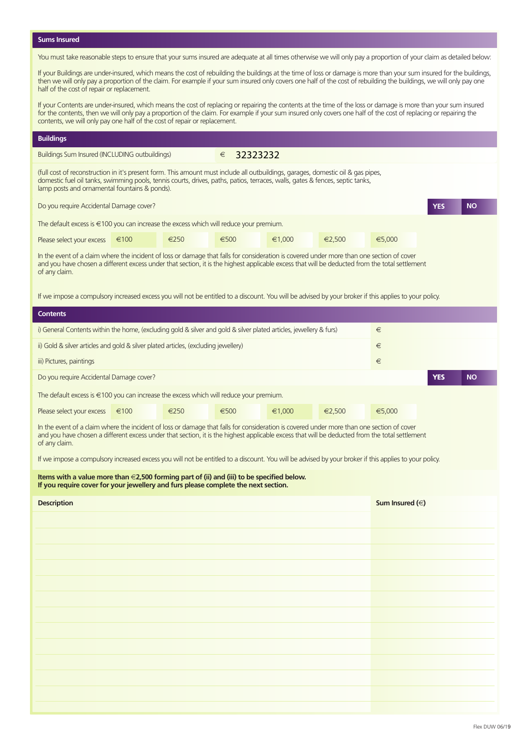**Sums Insured**

You must take reasonable steps to ensure that your sums insured are adequate at all times otherwise we will only pay a proportion of your claim as detailed below:

If your Buildings are under-insured, which means the cost of rebuilding the buildings at the time of loss or damage is more than your sum insured for the buildings, then we will only pay a proportion of the claim. For example if your sum insured only covers one half of the cost of rebuilding the buildings, we will only pay one half of the cost of repair or replacement.

If your Contents are under-insured, which means the cost of replacing or repairing the contents at the time of the loss or damage is more than your sum insured for the contents, then we will only pay a proportion of the claim. For example if your sum insured only covers one half of the cost of replacing or repairing the contents, we will only pay one half of the cost of repair or replacement.

## **Buildings**

of any claim.

Buildings Sum Insured (INCLUDING outbuildings)

€ 32323232

(full cost of reconstruction in it's present form. This amount must include all outbuildings, garages, domestic oil & gas pipes, domestic fuel oil tanks, swimming pools, tennis courts, drives, paths, patios, terraces, walls, gates & fences, septic tanks, lamp posts and ornamental fountains & ponds).

Do you require Accidental Damage cover? **YES**

The default excess is €100 you can increase the excess which will reduce your premium.

| Please select your excess $\epsilon$ 100 $\bigcirc$ $\epsilon$ 250 $\bigcirc$ $\epsilon$ 500 $\bigcirc$ $\epsilon$ 1,000 $\bigcirc$ $\epsilon$ 2,500 $\bigcirc$ $\epsilon$ 5,000 $\bigcirc$ |  |  |  |  |  |  |  |  |  |  |  |  |
|---------------------------------------------------------------------------------------------------------------------------------------------------------------------------------------------|--|--|--|--|--|--|--|--|--|--|--|--|
| In the event of a claim where the incident of loss or damage that falls for consideration is covered under more than one section of cover                                                   |  |  |  |  |  |  |  |  |  |  |  |  |
| and you have chosen a different excess under that section, it is the highest applicable excess that will be deducted from the total settlement                                              |  |  |  |  |  |  |  |  |  |  |  |  |

If we impose a compulsory increased excess you will not be entitled to a discount. You will be advised by your broker if this applies to your policy.

| IT WE ITIPOSE a COLIPUISOLY INCREASED EXCESS YOU WILLIOL DE EFITTIEU TO A UISCOUTIL. TOU WILL DE AUVISEU DY YOUT DIOKEL IT ITIIS APPIRES TO YOUT POIICY.                                                                                                                                                     |      |      |      |  |        |  |        |        |                     |     |           |
|--------------------------------------------------------------------------------------------------------------------------------------------------------------------------------------------------------------------------------------------------------------------------------------------------------------|------|------|------|--|--------|--|--------|--------|---------------------|-----|-----------|
| <b>Contents</b>                                                                                                                                                                                                                                                                                              |      |      |      |  |        |  |        |        |                     |     |           |
| i) General Contents within the home, (excluding gold & silver and gold & silver plated articles, jewellery & furs)                                                                                                                                                                                           |      |      |      |  |        |  |        |        |                     |     |           |
| ii) Gold & silver articles and gold & silver plated articles, (excluding jewellery)                                                                                                                                                                                                                          |      |      |      |  |        |  |        | €      |                     |     |           |
| iii) Pictures, paintings                                                                                                                                                                                                                                                                                     |      |      |      |  |        |  |        | €      |                     |     |           |
| Do you require Accidental Damage cover?                                                                                                                                                                                                                                                                      |      |      |      |  |        |  |        |        |                     | YES | <b>NO</b> |
| The default excess is $\in$ 100 you can increase the excess which will reduce your premium.                                                                                                                                                                                                                  |      |      |      |  |        |  |        |        |                     |     |           |
| Please select your excess                                                                                                                                                                                                                                                                                    | €100 | €250 | €500 |  | €1,000 |  | €2,500 | €5,000 |                     |     |           |
| In the event of a claim where the incident of loss or damage that falls for consideration is covered under more than one section of cover<br>and you have chosen a different excess under that section, it is the highest applicable excess that will be deducted from the total settlement<br>of any claim. |      |      |      |  |        |  |        |        |                     |     |           |
| If we impose a compulsory increased excess you will not be entitled to a discount. You will be advised by your broker if this applies to your policy.                                                                                                                                                        |      |      |      |  |        |  |        |        |                     |     |           |
| Items with a value more than $\in$ 2,500 forming part of (ii) and (iii) to be specified below.<br>If you require cover for your jewellery and furs please complete the next section.                                                                                                                         |      |      |      |  |        |  |        |        |                     |     |           |
| <b>Description</b>                                                                                                                                                                                                                                                                                           |      |      |      |  |        |  |        |        | Sum Insured $(\in)$ |     |           |
|                                                                                                                                                                                                                                                                                                              |      |      |      |  |        |  |        |        |                     |     |           |
|                                                                                                                                                                                                                                                                                                              |      |      |      |  |        |  |        |        |                     |     |           |
|                                                                                                                                                                                                                                                                                                              |      |      |      |  |        |  |        |        |                     |     |           |
|                                                                                                                                                                                                                                                                                                              |      |      |      |  |        |  |        |        |                     |     |           |
|                                                                                                                                                                                                                                                                                                              |      |      |      |  |        |  |        |        |                     |     |           |
|                                                                                                                                                                                                                                                                                                              |      |      |      |  |        |  |        |        |                     |     |           |
|                                                                                                                                                                                                                                                                                                              |      |      |      |  |        |  |        |        |                     |     |           |
|                                                                                                                                                                                                                                                                                                              |      |      |      |  |        |  |        |        |                     |     |           |
|                                                                                                                                                                                                                                                                                                              |      |      |      |  |        |  |        |        |                     |     |           |
|                                                                                                                                                                                                                                                                                                              |      |      |      |  |        |  |        |        |                     |     |           |
|                                                                                                                                                                                                                                                                                                              |      |      |      |  |        |  |        |        |                     |     |           |
|                                                                                                                                                                                                                                                                                                              |      |      |      |  |        |  |        |        |                     |     |           |
|                                                                                                                                                                                                                                                                                                              |      |      |      |  |        |  |        |        |                     |     |           |

**NO**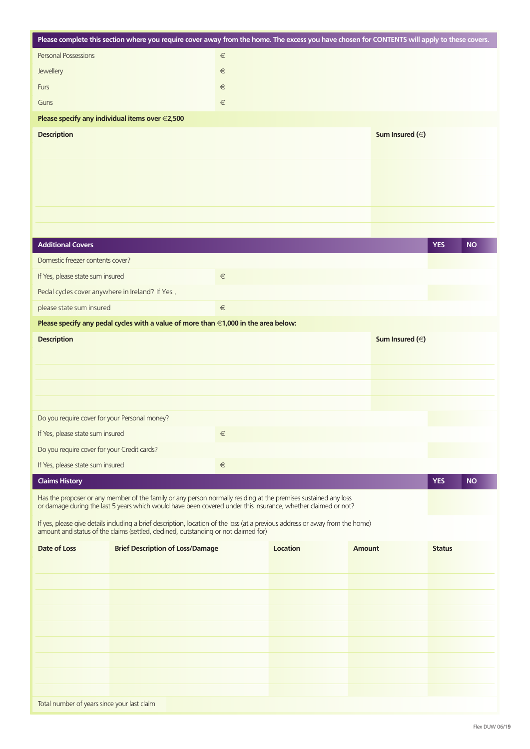|                                                                                 | Please complete this section where you require cover away from the home. The excess you have chosen for CONTENTS will apply to these covers.                                                                                     |       |          |                     |               |           |
|---------------------------------------------------------------------------------|----------------------------------------------------------------------------------------------------------------------------------------------------------------------------------------------------------------------------------|-------|----------|---------------------|---------------|-----------|
| Personal Possessions                                                            |                                                                                                                                                                                                                                  | $\in$ |          |                     |               |           |
| Jewellery                                                                       |                                                                                                                                                                                                                                  | $\in$ |          |                     |               |           |
| Furs                                                                            |                                                                                                                                                                                                                                  | $\in$ |          |                     |               |           |
| Guns                                                                            |                                                                                                                                                                                                                                  | $\in$ |          |                     |               |           |
|                                                                                 | Please specify any individual items over $\in$ 2,500                                                                                                                                                                             |       |          |                     |               |           |
| <b>Description</b>                                                              |                                                                                                                                                                                                                                  |       |          | Sum Insured $(\in)$ |               |           |
|                                                                                 |                                                                                                                                                                                                                                  |       |          |                     |               |           |
|                                                                                 |                                                                                                                                                                                                                                  |       |          |                     |               |           |
|                                                                                 |                                                                                                                                                                                                                                  |       |          |                     |               |           |
|                                                                                 |                                                                                                                                                                                                                                  |       |          |                     |               |           |
|                                                                                 |                                                                                                                                                                                                                                  |       |          |                     |               |           |
|                                                                                 |                                                                                                                                                                                                                                  |       |          |                     |               |           |
| <b>Additional Covers</b>                                                        |                                                                                                                                                                                                                                  |       |          |                     | <b>YES</b>    | <b>NO</b> |
| Domestic freezer contents cover?                                                |                                                                                                                                                                                                                                  |       |          |                     |               |           |
| If Yes, please state sum insured                                                |                                                                                                                                                                                                                                  | $\in$ |          |                     | <b>Tarihi</b> |           |
| Pedal cycles cover anywhere in Ireland? If Yes,                                 |                                                                                                                                                                                                                                  |       |          |                     |               |           |
| please state sum insured                                                        |                                                                                                                                                                                                                                  | $\in$ |          |                     |               |           |
|                                                                                 | Please specify any pedal cycles with a value of more than $\in$ 1,000 in the area below:                                                                                                                                         |       |          |                     |               |           |
| <b>Description</b>                                                              |                                                                                                                                                                                                                                  |       |          | Sum Insured $(\in)$ |               |           |
|                                                                                 |                                                                                                                                                                                                                                  |       |          |                     |               |           |
|                                                                                 |                                                                                                                                                                                                                                  |       |          |                     |               |           |
|                                                                                 |                                                                                                                                                                                                                                  |       |          |                     |               |           |
|                                                                                 |                                                                                                                                                                                                                                  |       |          |                     |               |           |
| Do you require cover for your Personal money?                                   |                                                                                                                                                                                                                                  |       |          |                     |               |           |
| If Yes, please state sum insured                                                |                                                                                                                                                                                                                                  | $\in$ |          |                     |               |           |
| Do you require cover for your Credit cards?<br>If Yes, please state sum insured |                                                                                                                                                                                                                                  | $\in$ |          |                     |               |           |
| <b>Claims History</b>                                                           |                                                                                                                                                                                                                                  |       |          |                     | <b>YES</b>    | <b>NO</b> |
|                                                                                 |                                                                                                                                                                                                                                  |       |          |                     |               |           |
|                                                                                 | Has the proposer or any member of the family or any person normally residing at the premises sustained any loss<br>or damage during the last 5 years which would have been covered under this insurance, whether claimed or not? |       |          |                     |               |           |
|                                                                                 | If yes, please give details including a brief description, location of the loss (at a previous address or away from the home)<br>amount and status of the claims (settled, declined, outstanding or not claimed for)             |       |          |                     |               |           |
| Date of Loss                                                                    | <b>Brief Description of Loss/Damage</b>                                                                                                                                                                                          |       | Location | <b>Amount</b>       | <b>Status</b> |           |
|                                                                                 |                                                                                                                                                                                                                                  |       |          |                     |               |           |
|                                                                                 |                                                                                                                                                                                                                                  |       |          |                     |               |           |
|                                                                                 |                                                                                                                                                                                                                                  |       |          |                     |               |           |
|                                                                                 |                                                                                                                                                                                                                                  |       |          |                     |               |           |
|                                                                                 |                                                                                                                                                                                                                                  |       |          |                     |               |           |
|                                                                                 |                                                                                                                                                                                                                                  |       |          |                     |               |           |
|                                                                                 |                                                                                                                                                                                                                                  |       |          |                     |               |           |
|                                                                                 |                                                                                                                                                                                                                                  |       |          |                     |               |           |
|                                                                                 |                                                                                                                                                                                                                                  |       |          |                     |               |           |
| Total number of years since your last claim                                     |                                                                                                                                                                                                                                  |       |          |                     |               |           |